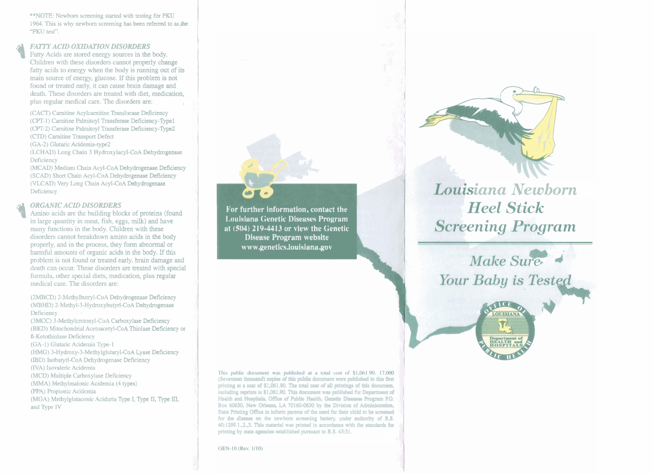\*\*NOTE: Newborn screening started with testing for PKU 1964. This is why newborn screening has been referred to as the "PKU test".

**PATTY ACID OXIDATION DISORDERS**<br>
Fatty Acids are stored energy sources in the body.<br>
Children with these disorders cannot properly channels. Children with these disorders cannot properly change fatty acids to energy when the body is **running** out of its main source of energy, glucose. If this problem is not found or treated early, it can cause brain damage and death. These disorders are treated with diet, medication, plus regular medical care. The disorders **are:** 

(CACT) Camitine Acylcamitine Translocase Deficiency (CIPT-1) Camitine Palmitoyl Transferase Deficiency-Type1 (CPT-2) Carnitine Palmitoyl Transferase Deficiency-Type2 **(CII))** Camitine Transport Defect

(GA-2) Glutaric Acidemia-type2

(LCHAD) Long Chain 3 Hydroxylacyl-CoA Dehydrogenase Deficiency

(MCAD) Medium Chain Acyl-CoA Dehydrogenase Deficiency (SCAD) Short **Chain** Acyl-CoA Dehydrogenase Deficiency (VLCAD) Very Long Chain Acyl-CoA Dehydrogenase Deficiency

**Q** *QRGANIC ACID DISORDERS*<br>
Amino acids are the building blocks of proteins (found<br>
in large quantity in meat. fish, eggs, milk) and have in large quantity in meat, fish, eggs, **milk)** and **have**  many functions in the body. Children with these disorders cannot breakdown amino acids in **the** body properly, and in the process, they form abnormal or harmful amounts of organic acids in the body. If this problem is not found or treated early, brain **damage** and death can occur. These disorders **are** treated with special formula, other special diets, medication, plus **regular**  medical care. The disorders **are:** 

(2MBCD) 2-Methylbutryl-CoA Dehydrogenase Deficiency **(MBHD)** 2-Methyl-3-Hydroxybutyrl-CoA Dehydrogenase Deficiency

(3MCC) 3-Methylcrotonyl-CoA Carboxylase Deficiency (BKD) Mitochondria1 Acetoacetyl-CoA Thiolase Deficiency or B-Ketothiolase Deficiency (GA-1) Glutaric Acidemia Type- **1**  *(HMG)* 3-Hydroxy-3-Methylglutaryl-CoA **Lyase** Deficiency (IBD) Isobutyrl-CoA Dehydrogenase Deficiency (IVA) Isovaleric Acidemia (MCD) Multiple Carboxylase Deficiency **(MMA)** Methylmalonic Acidemia (4 types) (PPA) Propionic Acidemia (MGA) Methylglutaconic Aciduria Type I, Type **II,** Type **111,** 

and **Type IV** 

**For further information, contact the 1,ouisiana Genetic 1)iseases Program ut (504) 219-4413 or view the Genetic Disease Program website www.genetics.louisiana~ov** 

10页。

This public document was published at a total cost of \$1,061.90. 17,000 (Seventeen thousand) copies of this public document were published in this first printing at a cost of \$1,061.90. The total cost of all printings of this document, including reprints is \$1,061.90. This document was published for Department of Health and Hospitals, Office of Public Health, Genetic Diseases Program P.O. Box 60630, New Orieans, LA 70160-0630 by the Division of Administration, State Printing Office to inform parents of the need for their child to be screened for the disease on the newborn screening battery, under authority of R.S. 40:1299.1.,2.,3. This material was printed in accordance with the standards for **printing by state assuncies established pursuant to R.S. 43:31.** 

,

GEN-10 (Rev. 1/10)



# Louisiana Newborn **Heel Stick Screening Program**

Make Sure Your Baby is Tested

**LOUISIANA**